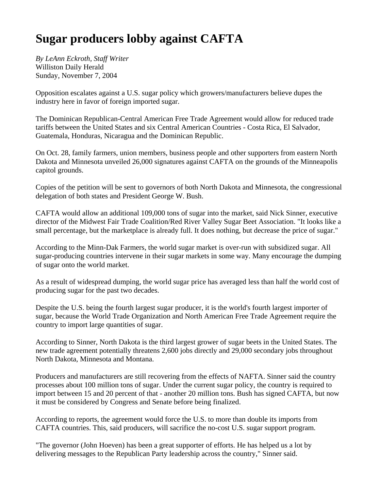## **Sugar producers lobby against CAFTA**

*By LeAnn Eckroth, Staff Writer* Williston Daily Herald Sunday, November 7, 2004

Opposition escalates against a U.S. sugar policy which growers/manufacturers believe dupes the industry here in favor of foreign imported sugar.

The Dominican Republican-Central American Free Trade Agreement would allow for reduced trade tariffs between the United States and six Central American Countries - Costa Rica, El Salvador, Guatemala, Honduras, Nicaragua and the Dominican Republic.

On Oct. 28, family farmers, union members, business people and other supporters from eastern North Dakota and Minnesota unveiled 26,000 signatures against CAFTA on the grounds of the Minneapolis capitol grounds.

Copies of the petition will be sent to governors of both North Dakota and Minnesota, the congressional delegation of both states and President George W. Bush.

CAFTA would allow an additional 109,000 tons of sugar into the market, said Nick Sinner, executive director of the Midwest Fair Trade Coalition/Red River Valley Sugar Beet Association. "It looks like a small percentage, but the marketplace is already full. It does nothing, but decrease the price of sugar."

According to the Minn-Dak Farmers, the world sugar market is over-run with subsidized sugar. All sugar-producing countries intervene in their sugar markets in some way. Many encourage the dumping of sugar onto the world market.

As a result of widespread dumping, the world sugar price has averaged less than half the world cost of producing sugar for the past two decades.

Despite the U.S. being the fourth largest sugar producer, it is the world's fourth largest importer of sugar, because the World Trade Organization and North American Free Trade Agreement require the country to import large quantities of sugar.

According to Sinner, North Dakota is the third largest grower of sugar beets in the United States. The new trade agreement potentially threatens 2,600 jobs directly and 29,000 secondary jobs throughout North Dakota, Minnesota and Montana.

Producers and manufacturers are still recovering from the effects of NAFTA. Sinner said the country processes about 100 million tons of sugar. Under the current sugar policy, the country is required to import between 15 and 20 percent of that - another 20 million tons. Bush has signed CAFTA, but now it must be considered by Congress and Senate before being finalized.

According to reports, the agreement would force the U.S. to more than double its imports from CAFTA countries. This, said producers, will sacrifice the no-cost U.S. sugar support program.

"The governor (John Hoeven) has been a great supporter of efforts. He has helped us a lot by delivering messages to the Republican Party leadership across the country," Sinner said.